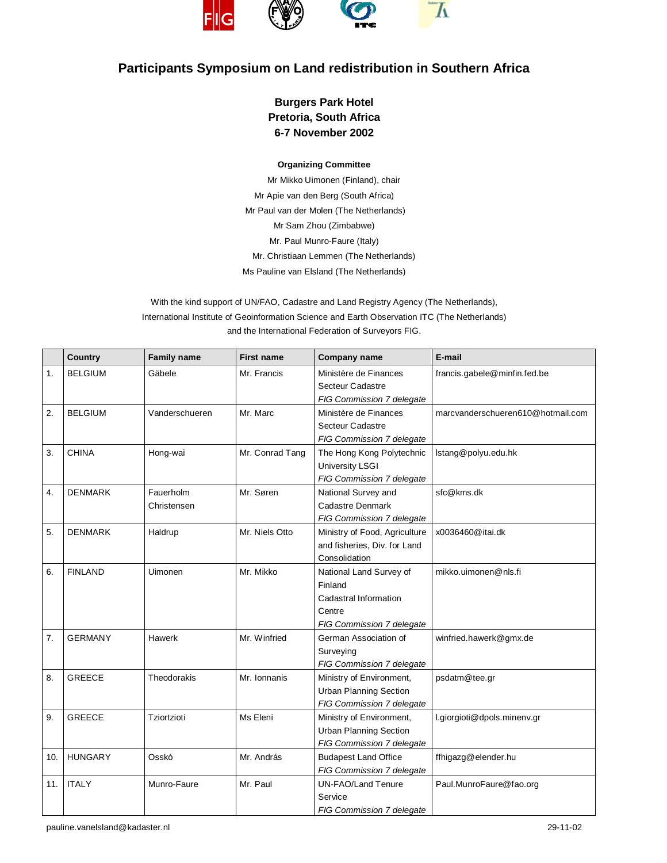

## **Participants Symposium on Land redistribution in Southern Africa**

## **Burgers Park Hotel Pretoria, South Africa 6-7 November 2002**

## **Organizing Committee**

Mr Mikko Uimonen (Finland), chair Mr Apie van den Berg (South Africa) Mr Paul van der Molen (The Netherlands) Mr Sam Zhou (Zimbabwe) Mr. Paul Munro-Faure (Italy) Mr. Christiaan Lemmen (The Netherlands) Ms Pauline van Elsland (The Netherlands)

With the kind support of UN/FAO, Cadastre and Land Registry Agency (The Netherlands), International Institute of Geoinformation Science and Earth Observation ITC (The Netherlands) and the International Federation of Surveyors FIG.

|                  | <b>Country</b> | <b>Family name</b>       | <b>First name</b> | <b>Company name</b>                                                                                | E-mail                            |
|------------------|----------------|--------------------------|-------------------|----------------------------------------------------------------------------------------------------|-----------------------------------|
| 1.               | <b>BELGIUM</b> | Gäbele                   | Mr. Francis       | Ministère de Finances<br>Secteur Cadastre<br>FIG Commission 7 delegate                             | francis.gabele@minfin.fed.be      |
| $\overline{2}$ . | <b>BELGIUM</b> | Vanderschueren           | Mr. Marc          | Ministère de Finances<br>Secteur Cadastre<br>FIG Commission 7 delegate                             | marcyanderschueren610@hotmail.com |
| 3.               | <b>CHINA</b>   | Hong-wai                 | Mr. Conrad Tang   | The Hong Kong Polytechnic<br><b>University LSGI</b><br>FIG Commission 7 delegate                   | lstang@polyu.edu.hk               |
| 4.               | <b>DENMARK</b> | Fauerholm<br>Christensen | Mr. Søren         | National Survey and<br><b>Cadastre Denmark</b><br>FIG Commission 7 delegate                        | sfc@kms.dk                        |
| 5.               | <b>DENMARK</b> | Haldrup                  | Mr. Niels Otto    | Ministry of Food, Agriculture<br>and fisheries, Div. for Land<br>Consolidation                     | x0036460@itai.dk                  |
| 6.               | <b>FINLAND</b> | <b>Uimonen</b>           | Mr. Mikko         | National Land Survey of<br>Finland<br>Cadastral Information<br>Centre<br>FIG Commission 7 delegate | mikko.uimonen@nls.fi              |
| 7.               | <b>GERMANY</b> | Hawerk                   | Mr. Winfried      | German Association of<br>Surveying<br>FIG Commission 7 delegate                                    | winfried.hawerk@gmx.de            |
| 8.               | <b>GREECE</b>  | Theodorakis              | Mr. Ionnanis      | Ministry of Environment,<br><b>Urban Planning Section</b><br>FIG Commission 7 delegate             | psdatm@tee.gr                     |
| 9.               | <b>GREECE</b>  | Tziortzioti              | Ms Eleni          | Ministry of Environment,<br><b>Urban Planning Section</b><br>FIG Commission 7 delegate             | l.giorgioti@dpols.minenv.gr       |
| 10.              | <b>HUNGARY</b> | Osskó                    | Mr. András        | <b>Budapest Land Office</b><br>FIG Commission 7 delegate                                           | ffhigazg@elender.hu               |
| 11.              | <b>ITALY</b>   | Munro-Faure              | Mr. Paul          | <b>UN-FAO/Land Tenure</b><br>Service<br>FIG Commission 7 delegate                                  | Paul.MunroFaure@fao.org           |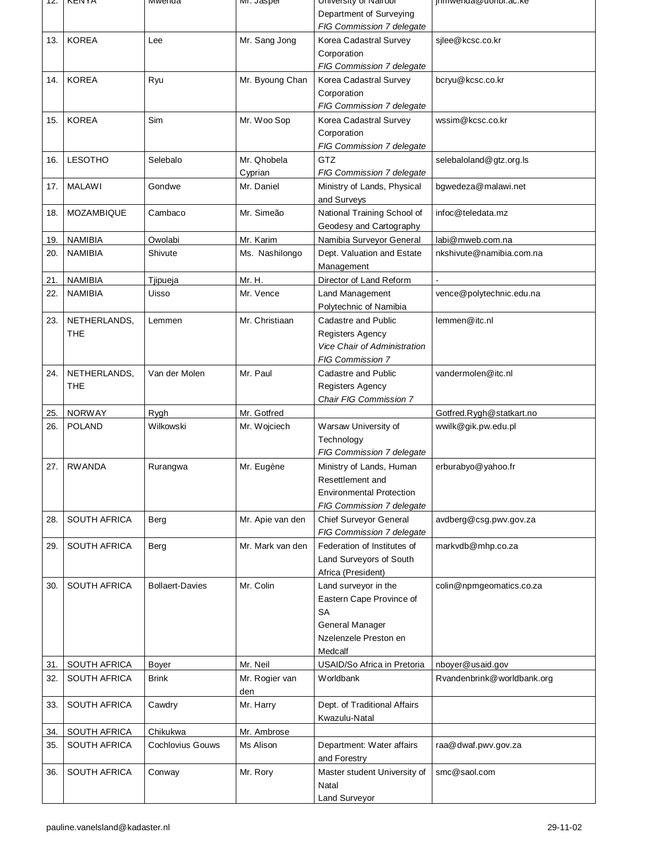| TZ.        | <b>NENTA</b>        | <u>iviwenda</u>         | ivii. Jasper     | University or ivalition                    | <del>µmwenda</del> wuonor.ac.ke |
|------------|---------------------|-------------------------|------------------|--------------------------------------------|---------------------------------|
|            |                     |                         |                  | Department of Surveying                    |                                 |
|            |                     |                         |                  | FIG Commission 7 delegate                  |                                 |
| 13.        | <b>KOREA</b>        | Lee                     | Mr. Sang Jong    | Korea Cadastral Survey                     | silee@kcsc.co.kr                |
|            |                     |                         |                  | Corporation                                |                                 |
|            |                     |                         |                  | FIG Commission 7 delegate                  |                                 |
| 14.        | <b>KOREA</b>        | Ryu                     | Mr. Byoung Chan  | Korea Cadastral Survey                     | bcryu@kcsc.co.kr                |
|            |                     |                         |                  | Corporation                                |                                 |
|            |                     |                         |                  | FIG Commission 7 delegate                  |                                 |
| 15.        | <b>KOREA</b>        | Sim                     | Mr. Woo Sop      | Korea Cadastral Survey                     | wssim@kcsc.co.kr                |
|            |                     |                         |                  | Corporation                                |                                 |
|            |                     |                         |                  | FIG Commission 7 delegate                  |                                 |
| 16.        | <b>LESOTHO</b>      | Selebalo                | Mr. Qhobela      | <b>GTZ</b>                                 | selebaloland@gtz.org.ls         |
|            |                     |                         | Cyprian          | FIG Commission 7 delegate                  |                                 |
| 17.        | <b>MALAWI</b>       | Gondwe                  | Mr. Daniel       | Ministry of Lands, Physical                | bgwedeza@malawi.net             |
|            | <b>MOZAMBIQUE</b>   | Cambaco                 | Mr. Simeão       | and Surveys<br>National Training School of | infoc@teledata.mz               |
| 18.        |                     |                         |                  | Geodesy and Cartography                    |                                 |
|            | <b>NAMIBIA</b>      | Owolabi                 | Mr. Karim        | Namibia Surveyor General                   | labi@mweb.com.na                |
| 19.<br>20. | <b>NAMIBIA</b>      | Shivute                 | Ms. Nashilongo   | Dept. Valuation and Estate                 | nkshivute@namibia.com.na        |
|            |                     |                         |                  | Management                                 |                                 |
| 21.        | <b>NAMIBIA</b>      | Tjipueja                | Mr. H.           | Director of Land Reform                    |                                 |
| 22.        | <b>NAMIBIA</b>      | Uisso                   | Mr. Vence        | Land Management                            | vence@polytechnic.edu.na        |
|            |                     |                         |                  | Polytechnic of Namibia                     |                                 |
| 23.        | NETHERLANDS,        | Lemmen                  | Mr. Christiaan   | Cadastre and Public                        | lemmen@itc.nl                   |
|            | <b>THE</b>          |                         |                  | <b>Registers Agency</b>                    |                                 |
|            |                     |                         |                  | <b>Vice Chair of Administration</b>        |                                 |
|            |                     |                         |                  | FIG Commission 7                           |                                 |
| 24.        | NETHERLANDS,        | Van der Molen           | Mr. Paul         | Cadastre and Public                        | vandermolen@itc.nl              |
|            | <b>THE</b>          |                         |                  | Registers Agency                           |                                 |
|            |                     |                         |                  | Chair FIG Commission 7                     |                                 |
| 25.        | <b>NORWAY</b>       | Rygh                    | Mr. Gotfred      |                                            | Gotfred.Rygh@statkart.no        |
| 26.        | <b>POLAND</b>       | Wilkowski               | Mr. Wojciech     | Warsaw University of                       | wwilk@gik.pw.edu.pl             |
|            |                     |                         |                  | Technology                                 |                                 |
|            |                     |                         |                  | FIG Commission 7 delegate                  |                                 |
| 27.        | <b>RWANDA</b>       | Rurangwa                | Mr. Eugène       | Ministry of Lands, Human                   | erburabyo@yahoo.fr              |
|            |                     |                         |                  | Resettlement and                           |                                 |
|            |                     |                         |                  | <b>Environmental Protection</b>            |                                 |
|            |                     |                         |                  | FIG Commission 7 delegate                  |                                 |
| 28.        | <b>SOUTH AFRICA</b> | Berg                    | Mr. Apie van den | Chief Surveyor General                     | avdberg@csg.pwv.gov.za          |
|            |                     |                         |                  | FIG Commission 7 delegate                  |                                 |
| 29.        | <b>SOUTH AFRICA</b> | Berg                    | Mr. Mark van den | Federation of Institutes of                | markvdb@mhp.co.za               |
|            |                     |                         |                  | Land Surveyors of South                    |                                 |
|            |                     |                         |                  | Africa (President)                         |                                 |
| 30.        | <b>SOUTH AFRICA</b> | <b>Bollaert-Davies</b>  | Mr. Colin        | Land surveyor in the                       | colin@npmgeomatics.co.za        |
|            |                     |                         |                  | Eastern Cape Province of<br><b>SA</b>      |                                 |
|            |                     |                         |                  | <b>General Manager</b>                     |                                 |
|            |                     |                         |                  | Nzelenzele Preston en                      |                                 |
|            |                     |                         |                  | Medcalf                                    |                                 |
| 31.        | SOUTH AFRICA        | Boyer                   | Mr. Neil         | USAID/So Africa in Pretoria                | nboyer@usaid.gov                |
| 32.        | SOUTH AFRICA        | <b>Brink</b>            | Mr. Rogier van   | Worldbank                                  | Rvandenbrink@worldbank.org      |
|            |                     |                         | den              |                                            |                                 |
| 33.        | <b>SOUTH AFRICA</b> | Cawdry                  | Mr. Harry        | Dept. of Traditional Affairs               |                                 |
|            |                     |                         |                  | Kwazulu-Natal                              |                                 |
| 34.        | <b>SOUTH AFRICA</b> | Chikukwa                | Mr. Ambrose      |                                            |                                 |
| 35.        | SOUTH AFRICA        | <b>Cochlovius Gouws</b> | Ms Alison        | Department: Water affairs                  | raa@dwaf.pwv.gov.za             |
|            |                     |                         |                  | and Forestry                               |                                 |
| 36.        | <b>SOUTH AFRICA</b> | Conway                  | Mr. Rory         | Master student University of               | smc@saol.com                    |
|            |                     |                         |                  | Natal                                      |                                 |
|            |                     |                         |                  | Land Surveyor                              |                                 |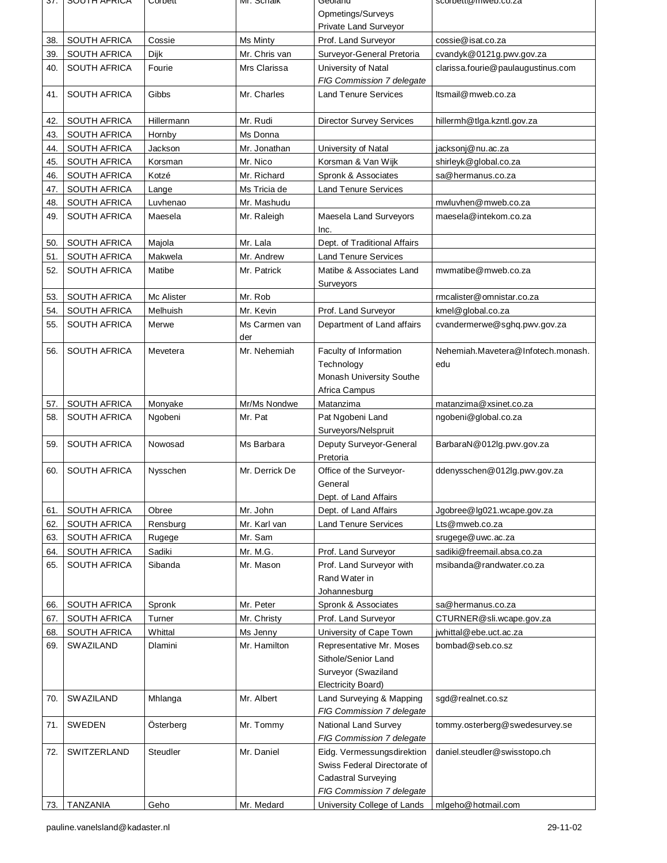| эr. | <b>SUUTH AFRICA</b> | Corpett    | <b>MI. SCHAIK</b> | Georano                         | scolpeit@filweb.co.za              |
|-----|---------------------|------------|-------------------|---------------------------------|------------------------------------|
|     |                     |            |                   | Opmetings/Surveys               |                                    |
|     |                     |            |                   | Private Land Surveyor           |                                    |
| 38. | <b>SOUTH AFRICA</b> | Cossie     | Ms Minty          | Prof. Land Surveyor             | cossie@isat.co.za                  |
| 39. | <b>SOUTH AFRICA</b> | Dijk       | Mr. Chris van     | Surveyor-General Pretoria       | cvandyk@0121g.pwv.gov.za           |
| 40. | <b>SOUTH AFRICA</b> | Fourie     | Mrs Clarissa      | University of Natal             | clarissa.fourie@paulaugustinus.com |
|     |                     |            |                   | FIG Commission 7 delegate       |                                    |
| 41. | <b>SOUTH AFRICA</b> | Gibbs      | Mr. Charles       | <b>Land Tenure Services</b>     | Itsmail@mweb.co.za                 |
|     |                     |            |                   |                                 |                                    |
| 42. | SOUTH AFRICA        | Hillermann | Mr. Rudi          | <b>Director Survey Services</b> | hillermh@tlga.kzntl.gov.za         |
| 43. | <b>SOUTH AFRICA</b> | Hornby     | Ms Donna          |                                 |                                    |
| 44. | <b>SOUTH AFRICA</b> | Jackson    | Mr. Jonathan      | University of Natal             | jacksonj@nu.ac.za                  |
| 45. | <b>SOUTH AFRICA</b> | Korsman    | Mr. Nico          | Korsman & Van Wijk              | shirleyk@global.co.za              |
| 46. | <b>SOUTH AFRICA</b> | Kotzé      | Mr. Richard       | Spronk & Associates             | sa@hermanus.co.za                  |
| 47. | <b>SOUTH AFRICA</b> | Lange      | Ms Tricia de      | <b>Land Tenure Services</b>     |                                    |
| 48. | <b>SOUTH AFRICA</b> | Luvhenao   | Mr. Mashudu       |                                 | mwluvhen@mweb.co.za                |
|     |                     |            |                   |                                 |                                    |
| 49. | <b>SOUTH AFRICA</b> | Maesela    | Mr. Raleigh       | Maesela Land Surveyors          | maesela@intekom.co.za              |
|     |                     |            |                   | Inc.                            |                                    |
| 50. | <b>SOUTH AFRICA</b> | Majola     | Mr. Lala          | Dept. of Traditional Affairs    |                                    |
| 51. | <b>SOUTH AFRICA</b> | Makwela    | Mr. Andrew        | <b>Land Tenure Services</b>     |                                    |
| 52. | <b>SOUTH AFRICA</b> | Matibe     | Mr. Patrick       | Matibe & Associates Land        | mwmatibe@mweb.co.za                |
|     |                     |            |                   | Surveyors                       |                                    |
| 53. | <b>SOUTH AFRICA</b> | Mc Alister | Mr. Rob           |                                 | rmcalister@omnistar.co.za          |
| 54. | <b>SOUTH AFRICA</b> | Melhuish   | Mr. Kevin         | Prof. Land Surveyor             | kmel@global.co.za                  |
| 55. | <b>SOUTH AFRICA</b> | Merwe      | Ms Carmen van     | Department of Land affairs      | cvandermerwe@sghq.pwv.gov.za       |
|     |                     |            | der               |                                 |                                    |
| 56. | <b>SOUTH AFRICA</b> | Mevetera   | Mr. Nehemiah      | Faculty of Information          | Nehemiah.Mavetera@Infotech.monash. |
|     |                     |            |                   | Technology                      | edu                                |
|     |                     |            |                   | Monash University Southe        |                                    |
|     |                     |            |                   | Africa Campus                   |                                    |
| 57. | <b>SOUTH AFRICA</b> | Monyake    | Mr/Ms Nondwe      | Matanzima                       | matanzima@xsinet.co.za             |
| 58. | <b>SOUTH AFRICA</b> | Ngobeni    | Mr. Pat           | Pat Ngobeni Land                | ngobeni@global.co.za               |
|     |                     |            |                   | Surveyors/Nelspruit             |                                    |
| 59. | <b>SOUTH AFRICA</b> | Nowosad    | Ms Barbara        | Deputy Surveyor-General         | BarbaraN@012lg.pwv.gov.za          |
|     |                     |            |                   | Pretoria                        |                                    |
| 60. | <b>SOUTH AFRICA</b> | Nysschen   | Mr. Derrick De    | Office of the Surveyor-         | ddenysschen@012lg.pwv.gov.za       |
|     |                     |            |                   | General                         |                                    |
|     |                     |            |                   | Dept. of Land Affairs           |                                    |
| 61. | SOUTH AFRICA        | Obree      | Mr. John          | Dept. of Land Affairs           | Jgobree@lg021.wcape.gov.za         |
| 62. | <b>SOUTH AFRICA</b> | Rensburg   | Mr. Karl van      | <b>Land Tenure Services</b>     | Lts@mweb.co.za                     |
| 63. | <b>SOUTH AFRICA</b> | Rugege     | Mr. Sam           |                                 | srugege@uwc.ac.za                  |
| 64. | <b>SOUTH AFRICA</b> | Sadiki     | Mr. M.G.          | Prof. Land Surveyor             | sadiki@freemail.absa.co.za         |
| 65. | <b>SOUTH AFRICA</b> | Sibanda    | Mr. Mason         | Prof. Land Surveyor with        | msibanda@randwater.co.za           |
|     |                     |            |                   | Rand Water in                   |                                    |
|     |                     |            |                   | Johannesburg                    |                                    |
| 66. | SOUTH AFRICA        | Spronk     | Mr. Peter         | Spronk & Associates             | sa@hermanus.co.za                  |
| 67. | SOUTH AFRICA        | Turner     | Mr. Christy       | Prof. Land Surveyor             | CTURNER@sli.wcape.gov.za           |
| 68. | SOUTH AFRICA        | Whittal    | Ms Jenny          | University of Cape Town         | jwhittal@ebe.uct.ac.za             |
| 69. | <b>SWAZILAND</b>    | Dlamini    | Mr. Hamilton      | Representative Mr. Moses        | bombad@seb.co.sz                   |
|     |                     |            |                   | Sithole/Senior Land             |                                    |
|     |                     |            |                   | Surveyor (Swaziland             |                                    |
|     |                     |            |                   | Electricity Board)              |                                    |
| 70. | <b>SWAZILAND</b>    | Mhlanga    | Mr. Albert        | Land Surveying & Mapping        | sgd@realnet.co.sz                  |
|     |                     |            |                   | FIG Commission 7 delegate       |                                    |
| 71. | <b>SWEDEN</b>       | Österberg  | Mr. Tommy         | <b>National Land Survey</b>     | tommy.osterberg@swedesurvey.se     |
|     |                     |            |                   | FIG Commission 7 delegate       |                                    |
| 72. | SWITZERLAND         | Steudler   | Mr. Daniel        | Eidg. Vermessungsdirektion      | daniel.steudler@swisstopo.ch       |
|     |                     |            |                   | Swiss Federal Directorate of    |                                    |
|     |                     |            |                   | <b>Cadastral Surveying</b>      |                                    |
|     |                     |            |                   | FIG Commission 7 delegate       |                                    |
| 73. | <b>TANZANIA</b>     | Geho       | Mr. Medard        | University College of Lands     | mlgeho@hotmail.com                 |
|     |                     |            |                   |                                 |                                    |